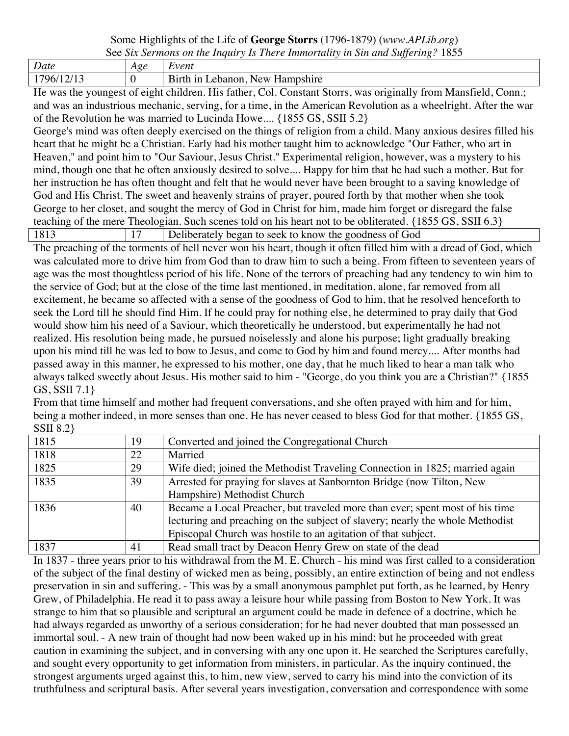## Some Highlights of the Life of **George Storrs** (1796-1879) (*www.APLib.org*)

|--|

| Date       | Age | Event                                                                                      |
|------------|-----|--------------------------------------------------------------------------------------------|
| 17C<br>967 |     | $\overline{\phantom{a}}$<br>New<br>ı vt h<br>$\rightarrow$<br>oshire<br>аh<br>anon<br>umne |

He was the youngest of eight children. His father, Col. Constant Storrs, was originally from Mansfield, Conn.; and was an industrious mechanic, serving, for a time, in the American Revolution as a wheelright. After the war of the Revolution he was married to Lucinda Howe.... {1855 GS, SSII 5.2}

George's mind was often deeply exercised on the things of religion from a child. Many anxious desires filled his heart that he might be a Christian. Early had his mother taught him to acknowledge "Our Father, who art in Heaven," and point him to "Our Saviour, Jesus Christ." Experimental religion, however, was a mystery to his mind, though one that he often anxiously desired to solve.... Happy for him that he had such a mother. But for her instruction he has often thought and felt that he would never have been brought to a saving knowledge of God and His Christ. The sweet and heavenly strains of prayer, poured forth by that mother when she took George to her closet, and sought the mercy of God in Christ for him, made him forget or disregard the false teaching of the mere Theologian. Such scenes told on his heart not to be obliterated. {1855 GS, SSII 6.3}

1813 1813 17 Deliberately began to seek to know the goodness of God

The preaching of the torments of hell never won his heart, though it often filled him with a dread of God, which was calculated more to drive him from God than to draw him to such a being. From fifteen to seventeen years of age was the most thoughtless period of his life. None of the terrors of preaching had any tendency to win him to the service of God; but at the close of the time last mentioned, in meditation, alone, far removed from all excitement, he became so affected with a sense of the goodness of God to him, that he resolved henceforth to seek the Lord till he should find Him. If he could pray for nothing else, he determined to pray daily that God would show him his need of a Saviour, which theoretically he understood, but experimentally he had not realized. His resolution being made, he pursued noiselessly and alone his purpose; light gradually breaking upon his mind till he was led to bow to Jesus, and come to God by him and found mercy.... After months had passed away in this manner, he expressed to his mother, one day, that he much liked to hear a man talk who always talked sweetly about Jesus. His mother said to him - "George, do you think you are a Christian?" {1855 GS, SSII 7.1}

From that time himself and mother had frequent conversations, and she often prayed with him and for him, being a mother indeed, in more senses than one. He has never ceased to bless God for that mother. {1855 GS, SSII 8.2}

| 1815 | 19 | Converted and joined the Congregational Church                                |
|------|----|-------------------------------------------------------------------------------|
| 1818 | 22 | Married                                                                       |
| 1825 | 29 | Wife died; joined the Methodist Traveling Connection in 1825; married again   |
| 1835 | 39 | Arrested for praying for slaves at Sanbornton Bridge (now Tilton, New         |
|      |    | Hampshire) Methodist Church                                                   |
| 1836 | 40 | Became a Local Preacher, but traveled more than ever; spent most of his time  |
|      |    | lecturing and preaching on the subject of slavery; nearly the whole Methodist |
|      |    | Episcopal Church was hostile to an agitation of that subject.                 |
| 1837 | 41 | Read small tract by Deacon Henry Grew on state of the dead                    |

In 1837 - three years prior to his withdrawal from the M. E. Church - his mind was first called to a consideration of the subject of the final destiny of wicked men as being, possibly, an entire extinction of being and not endless preservation in sin and suffering. - This was by a small anonymous pamphlet put forth, as he learned, by Henry Grew, of Philadelphia. He read it to pass away a leisure hour while passing from Boston to New York. It was strange to him that so plausible and scriptural an argument could be made in defence of a doctrine, which he had always regarded as unworthy of a serious consideration; for he had never doubted that man possessed an immortal soul. - A new train of thought had now been waked up in his mind; but he proceeded with great caution in examining the subject, and in conversing with any one upon it. He searched the Scriptures carefully, and sought every opportunity to get information from ministers, in particular. As the inquiry continued, the strongest arguments urged against this, to him, new view, served to carry his mind into the conviction of its truthfulness and scriptural basis. After several years investigation, conversation and correspondence with some